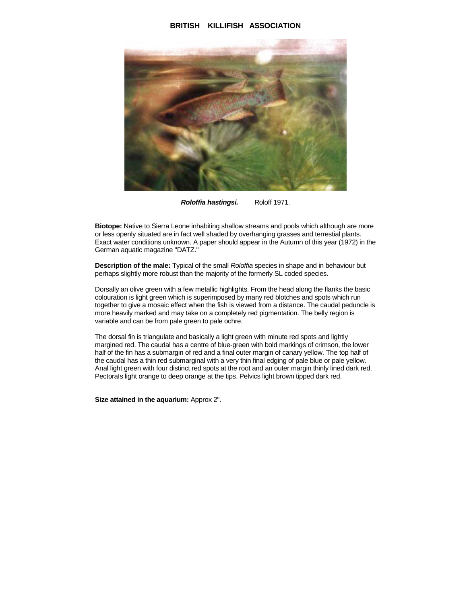## **BRITISH KILLIFISH ASSOCIATION**



**Roloffia hastingsi.** Roloff 1971.

**Biotope:** Native to Sierra Leone inhabiting shallow streams and pools which although are more or less openly situated are in fact well shaded by overhanging grasses and terrestial plants. Exact water conditions unknown. A paper should appear in the Autumn of this year (1972) in the German aquatic magazine "DATZ."

**Description of the male:** Typical of the small Roloffia species in shape and in behaviour but perhaps slightly more robust than the majority of the formerly SL coded species.

Dorsally an olive green with a few metallic highlights. From the head along the flanks the basic colouration is light green which is superimposed by many red blotches and spots which run together to give a mosaic effect when the fish is viewed from a distance. The caudal peduncle is more heavily marked and may take on a completely red pigmentation. The belly region is variable and can be from pale green to pale ochre.

The dorsal fin is triangulate and basically a light green with minute red spots and lightly margined red. The caudal has a centre of blue-green with bold markings of crimson, the lower half of the fin has a submargin of red and a final outer margin of canary yellow. The top half of the caudal has a thin red submarginal with a very thin final edging of pale blue or pale yellow. Anal light green with four distinct red spots at the root and an outer margin thinly lined dark red. Pectorals light orange to deep orange at the tips. Pelvics light brown tipped dark red.

## **Size attained in the aquarium:** Approx 2".